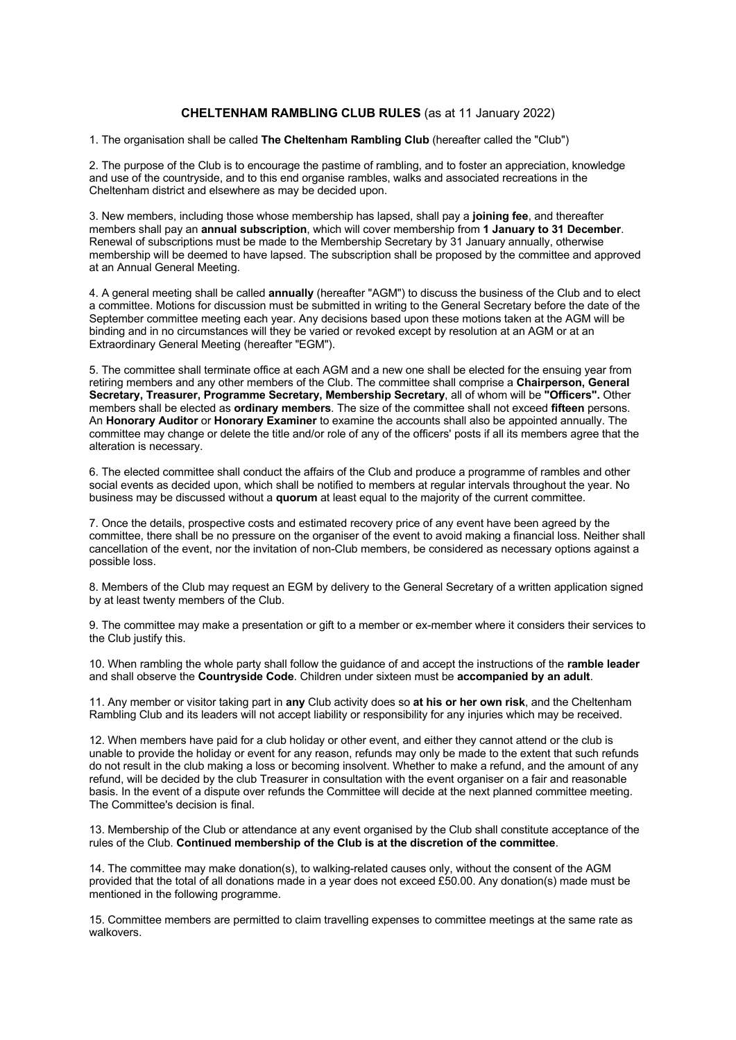## **CHELTENHAM RAMBLING CLUB RULES** (as at 11 January 2022)

1. The organisation shall be called **The Cheltenham Rambling Club** (hereafter called the "Club")

2. The purpose of the Club is to encourage the pastime of rambling, and to foster an appreciation, knowledge and use of the countryside, and to this end organise rambles, walks and associated recreations in the Cheltenham district and elsewhere as may be decided upon.

3. New members, including those whose membership has lapsed, shall pay a **joining fee**, and thereafter members shall pay an **annual subscription**, which will cover membership from **1 January to 31 December**. Renewal of subscriptions must be made to the Membership Secretary by 31 January annually, otherwise membership will be deemed to have lapsed. The subscription shall be proposed by the committee and approved at an Annual General Meeting.

4. A general meeting shall be called **annually** (hereafter "AGM") to discuss the business of the Club and to elect a committee. Motions for discussion must be submitted in writing to the General Secretary before the date of the September committee meeting each year. Any decisions based upon these motions taken at the AGM will be binding and in no circumstances will they be varied or revoked except by resolution at an AGM or at an Extraordinary General Meeting (hereafter "EGM").

5. The committee shall terminate office at each AGM and a new one shall be elected for the ensuing year from retiring members and any other members of the Club. The committee shall comprise a **Chairperson, General Secretary, Treasurer, Programme Secretary, Membership Secretary**, all of whom will be **"Officers".** Other members shall be elected as **ordinary members**. The size of the committee shall not exceed **fifteen** persons. An **Honorary Auditor** or **Honorary Examiner** to examine the accounts shall also be appointed annually. The committee may change or delete the title and/or role of any of the officers' posts if all its members agree that the alteration is necessary.

6. The elected committee shall conduct the affairs of the Club and produce a programme of rambles and other social events as decided upon, which shall be notified to members at regular intervals throughout the year. No business may be discussed without a **quorum** at least equal to the majority of the current committee.

7. Once the details, prospective costs and estimated recovery price of any event have been agreed by the committee, there shall be no pressure on the organiser of the event to avoid making a financial loss. Neither shall cancellation of the event, nor the invitation of non-Club members, be considered as necessary options against a possible loss.

8. Members of the Club may request an EGM by delivery to the General Secretary of a written application signed by at least twenty members of the Club.

9. The committee may make a presentation or gift to a member or ex-member where it considers their services to the Club justify this.

10. When rambling the whole party shall follow the guidance of and accept the instructions of the **ramble leader**  and shall observe the **Countryside Code**. Children under sixteen must be **accompanied by an adult**.

11. Any member or visitor taking part in **any** Club activity does so **at his or her own risk**, and the Cheltenham Rambling Club and its leaders will not accept liability or responsibility for any injuries which may be received.

12. When members have paid for a club holiday or other event, and either they cannot attend or the club is unable to provide the holiday or event for any reason, refunds may only be made to the extent that such refunds do not result in the club making a loss or becoming insolvent. Whether to make a refund, and the amount of any refund, will be decided by the club Treasurer in consultation with the event organiser on a fair and reasonable basis. In the event of a dispute over refunds the Committee will decide at the next planned committee meeting. The Committee's decision is final.

13. Membership of the Club or attendance at any event organised by the Club shall constitute acceptance of the rules of the Club. **Continued membership of the Club is at the discretion of the committee**.

14. The committee may make donation(s), to walking-related causes only, without the consent of the AGM provided that the total of all donations made in a year does not exceed £50.00. Any donation(s) made must be mentioned in the following programme.

15. Committee members are permitted to claim travelling expenses to committee meetings at the same rate as walkovers.